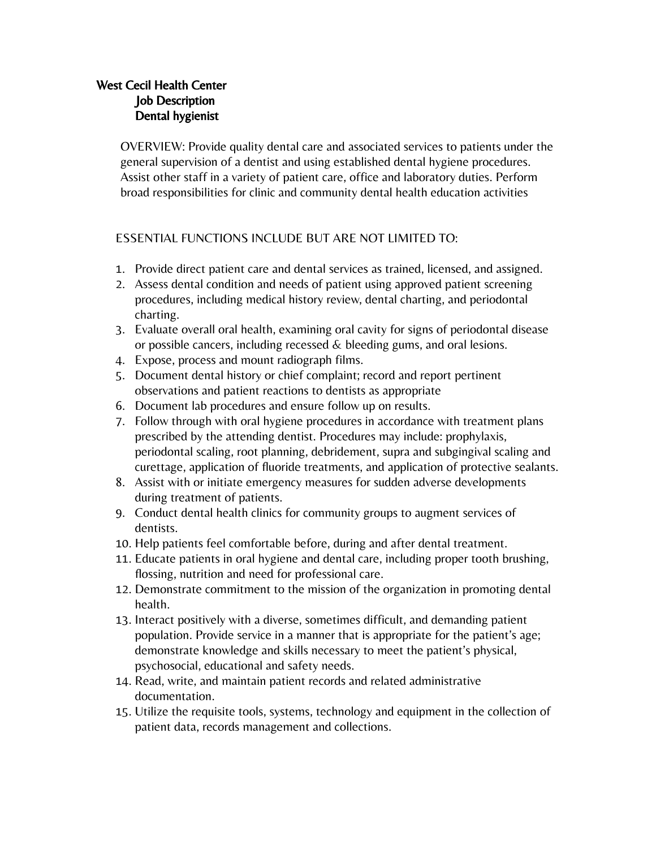## West Cecil Health Center Job Description Dental hygienist

OVERVIEW: Provide quality dental care and associated services to patients under the general supervision of a dentist and using established dental hygiene procedures. Assist other staff in a variety of patient care, office and laboratory duties. Perform broad responsibilities for clinic and community dental health education activities

#### ESSENTIAL FUNCTIONS INCLUDE BUT ARE NOT LIMITED TO:

- 1. Provide direct patient care and dental services as trained, licensed, and assigned.
- 2. Assess dental condition and needs of patient using approved patient screening procedures, including medical history review, dental charting, and periodontal charting.
- 3. Evaluate overall oral health, examining oral cavity for signs of periodontal disease or possible cancers, including recessed & bleeding gums, and oral lesions.
- 4. Expose, process and mount radiograph films.
- 5. Document dental history or chief complaint; record and report pertinent observations and patient reactions to dentists as appropriate
- 6. Document lab procedures and ensure follow up on results.
- 7. Follow through with oral hygiene procedures in accordance with treatment plans prescribed by the attending dentist. Procedures may include: prophylaxis, periodontal scaling, root planning, debridement, supra and subgingival scaling and curettage, application of fluoride treatments, and application of protective sealants.
- 8. Assist with or initiate emergency measures for sudden adverse developments during treatment of patients.
- 9. Conduct dental health clinics for community groups to augment services of dentists.
- 10. Help patients feel comfortable before, during and after dental treatment.
- 11. Educate patients in oral hygiene and dental care, including proper tooth brushing, flossing, nutrition and need for professional care.
- 12. Demonstrate commitment to the mission of the organization in promoting dental health.
- 13. Interact positively with a diverse, sometimes difficult, and demanding patient population. Provide service in a manner that is appropriate for the patient's age; demonstrate knowledge and skills necessary to meet the patient's physical, psychosocial, educational and safety needs.
- 14. Read, write, and maintain patient records and related administrative documentation.
- 15. Utilize the requisite tools, systems, technology and equipment in the collection of patient data, records management and collections.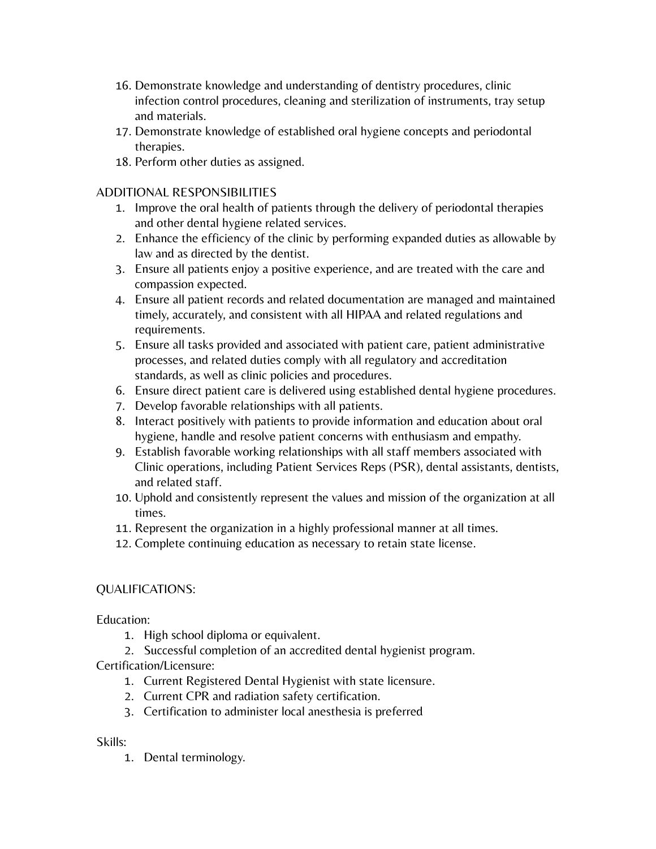- 16. Demonstrate knowledge and understanding of dentistry procedures, clinic infection control procedures, cleaning and sterilization of instruments, tray setup and materials.
- 17. Demonstrate knowledge of established oral hygiene concepts and periodontal therapies.
- 18. Perform other duties as assigned.

### ADDITIONAL RESPONSIBILITIES

- 1. Improve the oral health of patients through the delivery of periodontal therapies and other dental hygiene related services.
- 2. Enhance the efficiency of the clinic by performing expanded duties as allowable by law and as directed by the dentist.
- 3. Ensure all patients enjoy a positive experience, and are treated with the care and compassion expected.
- 4. Ensure all patient records and related documentation are managed and maintained timely, accurately, and consistent with all HIPAA and related regulations and requirements.
- 5. Ensure all tasks provided and associated with patient care, patient administrative processes, and related duties comply with all regulatory and accreditation standards, as well as clinic policies and procedures.
- 6. Ensure direct patient care is delivered using established dental hygiene procedures.
- 7. Develop favorable relationships with all patients.
- 8. Interact positively with patients to provide information and education about oral hygiene, handle and resolve patient concerns with enthusiasm and empathy.
- 9. Establish favorable working relationships with all staff members associated with Clinic operations, including Patient Services Reps (PSR), dental assistants, dentists, and related staff.
- 10. Uphold and consistently represent the values and mission of the organization at all times.
- 11. Represent the organization in a highly professional manner at all times.
- 12. Complete continuing education as necessary to retain state license.

# QUALIFICATIONS:

Education:

- 1. High school diploma or equivalent.
- 2. Successful completion of an accredited dental hygienist program.

Certification/Licensure:

- 1. Current Registered Dental Hygienist with state licensure.
- 2. Current CPR and radiation safety certification.
- 3. Certification to administer local anesthesia is preferred

### Skills:

1. Dental terminology.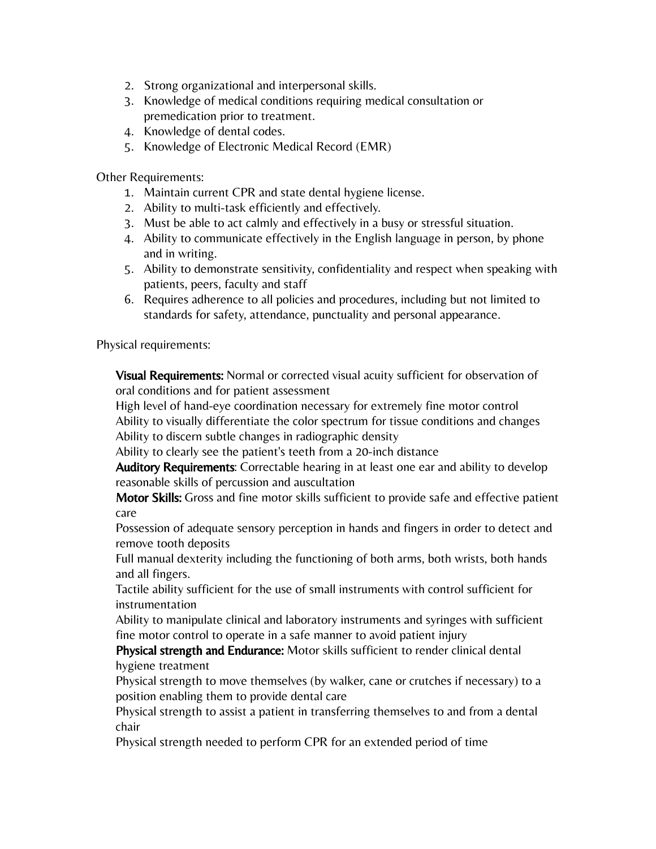- 2. Strong organizational and interpersonal skills.
- 3. Knowledge of medical conditions requiring medical consultation or premedication prior to treatment.
- 4. Knowledge of dental codes.
- 5. Knowledge of Electronic Medical Record (EMR)

Other Requirements:

- 1. Maintain current CPR and state dental hygiene license.
- 2. Ability to multi-task efficiently and effectively.
- 3. Must be able to act calmly and effectively in a busy or stressful situation.
- 4. Ability to communicate effectively in the English language in person, by phone and in writing.
- 5. Ability to demonstrate sensitivity, confidentiality and respect when speaking with patients, peers, faculty and staff
- 6. Requires adherence to all policies and procedures, including but not limited to standards for safety, attendance, punctuality and personal appearance.

Physical requirements:

**Visual Requirements:** Normal or corrected visual acuity sufficient for observation of oral conditions and for patient assessment

High level of hand-eye coordination necessary for extremely fine motor control Ability to visually differentiate the color spectrum for tissue conditions and changes Ability to discern subtle changes in radiographic density

Ability to clearly see the patient's teeth from a 20-inch distance

Auditory Requirements: Correctable hearing in at least one ear and ability to develop reasonable skills of percussion and auscultation

Motor Skills: Gross and fine motor skills sufficient to provide safe and effective patient care

Possession of adequate sensory perception in hands and fingers in order to detect and remove tooth deposits

Full manual dexterity including the functioning of both arms, both wrists, both hands and all fingers.

Tactile ability sufficient for the use of small instruments with control sufficient for instrumentation

Ability to manipulate clinical and laboratory instruments and syringes with sufficient fine motor control to operate in a safe manner to avoid patient injury

Physical strength and Endurance: Motor skills sufficient to render clinical dental hygiene treatment

Physical strength to move themselves (by walker, cane or crutches if necessary) to a position enabling them to provide dental care

Physical strength to assist a patient in transferring themselves to and from a dental chair

Physical strength needed to perform CPR for an extended period of time